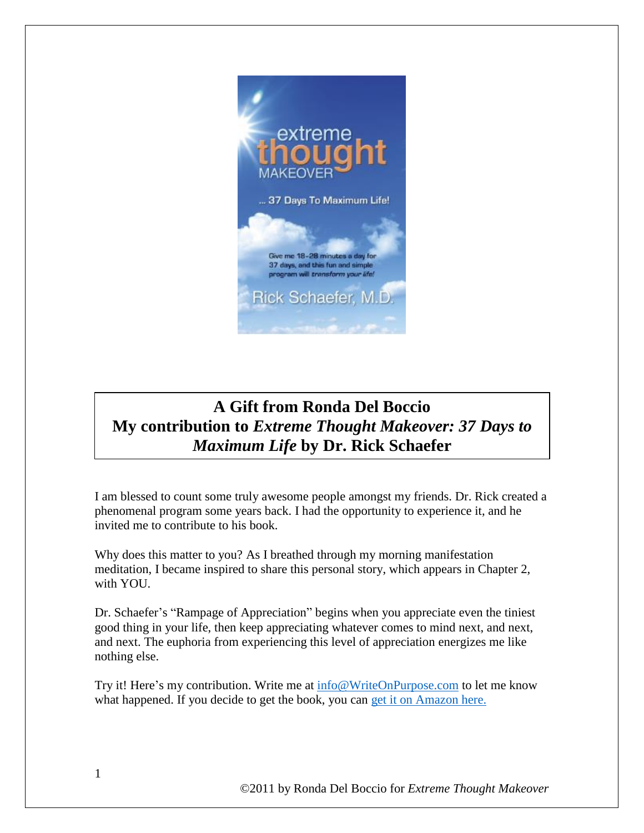

## **A Gift from Ronda Del Boccio My contribution to** *Extreme Thought Makeover: 37 Days to Maximum Life* **by Dr. Rick Schaefer**

I am blessed to count some truly awesome people amongst my friends. Dr. Rick created a phenomenal program some years back. I had the opportunity to experience it, and he invited me to contribute to his book.

Why does this matter to you? As I breathed through my morning manifestation meditation, I became inspired to share this personal story, which appears in Chapter 2, with YOU.

Dr. Schaefer's "Rampage of Appreciation" begins when you appreciate even the tiniest good thing in your life, then keep appreciating whatever comes to mind next, and next, and next. The euphoria from experiencing this level of appreciation energizes me like nothing else.

Try it! Here's my contribution. Write me at [info@WriteOnPurpose.com](mailto:info@WriteOnPurpose.com) to let me know what happened. If you decide to get the book, you can [get it on Amazon here.](https://www.amazon.com/Extreme-Thought-Makeover-Days-Maximum-ebook/dp/B00FEWYTBK/ref=sr_1_1?s=digital-text&ie=UTF8&qid=1543587004&sr=1-1)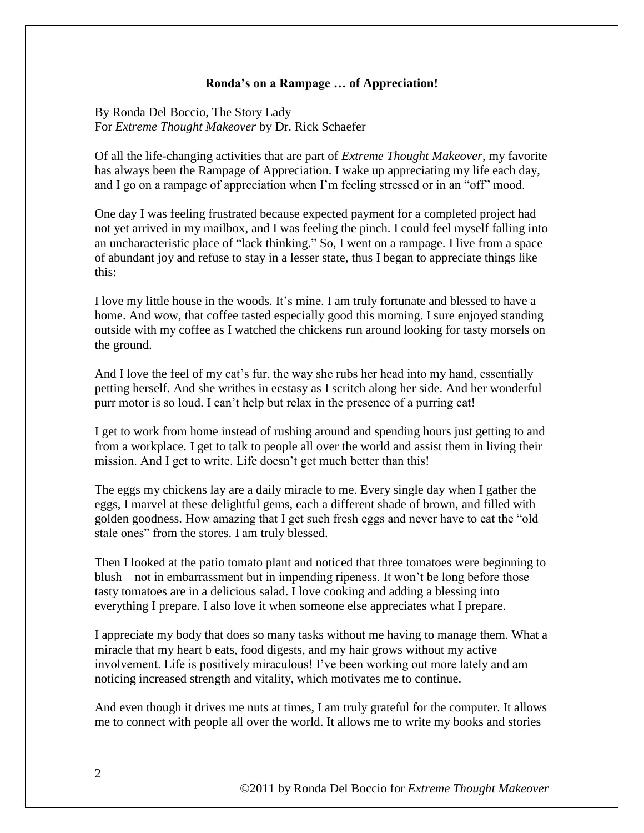## **Ronda's on a Rampage … of Appreciation!**

By Ronda Del Boccio, The Story Lady For *Extreme Thought Makeover* by Dr. Rick Schaefer

Of all the life-changing activities that are part of *Extreme Thought Makeover*, my favorite has always been the Rampage of Appreciation. I wake up appreciating my life each day, and I go on a rampage of appreciation when I'm feeling stressed or in an "off" mood.

One day I was feeling frustrated because expected payment for a completed project had not yet arrived in my mailbox, and I was feeling the pinch. I could feel myself falling into an uncharacteristic place of "lack thinking." So, I went on a rampage. I live from a space of abundant joy and refuse to stay in a lesser state, thus I began to appreciate things like this:

I love my little house in the woods. It's mine. I am truly fortunate and blessed to have a home. And wow, that coffee tasted especially good this morning. I sure enjoyed standing outside with my coffee as I watched the chickens run around looking for tasty morsels on the ground.

And I love the feel of my cat's fur, the way she rubs her head into my hand, essentially petting herself. And she writhes in ecstasy as I scritch along her side. And her wonderful purr motor is so loud. I can't help but relax in the presence of a purring cat!

I get to work from home instead of rushing around and spending hours just getting to and from a workplace. I get to talk to people all over the world and assist them in living their mission. And I get to write. Life doesn't get much better than this!

The eggs my chickens lay are a daily miracle to me. Every single day when I gather the eggs, I marvel at these delightful gems, each a different shade of brown, and filled with golden goodness. How amazing that I get such fresh eggs and never have to eat the "old stale ones" from the stores. I am truly blessed.

Then I looked at the patio tomato plant and noticed that three tomatoes were beginning to blush – not in embarrassment but in impending ripeness. It won't be long before those tasty tomatoes are in a delicious salad. I love cooking and adding a blessing into everything I prepare. I also love it when someone else appreciates what I prepare.

I appreciate my body that does so many tasks without me having to manage them. What a miracle that my heart b eats, food digests, and my hair grows without my active involvement. Life is positively miraculous! I've been working out more lately and am noticing increased strength and vitality, which motivates me to continue.

And even though it drives me nuts at times, I am truly grateful for the computer. It allows me to connect with people all over the world. It allows me to write my books and stories